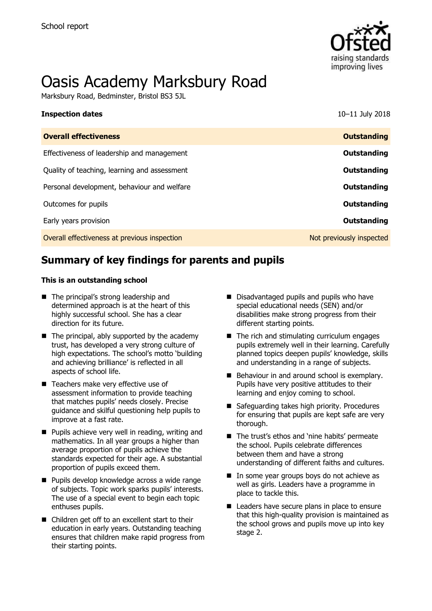

# Oasis Academy Marksbury Road

Marksbury Road, Bedminster, Bristol BS3 5JL

#### **Inspection dates** 10–11 July 2018

| <b>Overall effectiveness</b>                 | <b>Outstanding</b>       |
|----------------------------------------------|--------------------------|
| Effectiveness of leadership and management   | Outstanding              |
| Quality of teaching, learning and assessment | Outstanding              |
| Personal development, behaviour and welfare  | Outstanding              |
| Outcomes for pupils                          | Outstanding              |
| Early years provision                        | Outstanding              |
| Overall effectiveness at previous inspection | Not previously inspected |

# **Summary of key findings for parents and pupils**

#### **This is an outstanding school**

- The principal's strong leadership and determined approach is at the heart of this highly successful school. She has a clear direction for its future.
- $\blacksquare$  The principal, ably supported by the academy trust, has developed a very strong culture of high expectations. The school's motto 'building and achieving brilliance' is reflected in all aspects of school life.
- Teachers make very effective use of assessment information to provide teaching that matches pupils' needs closely. Precise guidance and skilful questioning help pupils to improve at a fast rate.
- **Pupils achieve very well in reading, writing and** mathematics. In all year groups a higher than average proportion of pupils achieve the standards expected for their age. A substantial proportion of pupils exceed them.
- **Pupils develop knowledge across a wide range** of subjects. Topic work sparks pupils' interests. The use of a special event to begin each topic enthuses pupils.
- Children get off to an excellent start to their education in early years. Outstanding teaching ensures that children make rapid progress from their starting points.
- Disadvantaged pupils and pupils who have special educational needs (SEN) and/or disabilities make strong progress from their different starting points.
- $\blacksquare$  The rich and stimulating curriculum engages pupils extremely well in their learning. Carefully planned topics deepen pupils' knowledge, skills and understanding in a range of subjects.
- Behaviour in and around school is exemplary. Pupils have very positive attitudes to their learning and enjoy coming to school.
- Safeguarding takes high priority. Procedures for ensuring that pupils are kept safe are very thorough.
- The trust's ethos and 'nine habits' permeate the school. Pupils celebrate differences between them and have a strong understanding of different faiths and cultures.
- In some year groups boys do not achieve as well as girls. Leaders have a programme in place to tackle this.
- Leaders have secure plans in place to ensure that this high-quality provision is maintained as the school grows and pupils move up into key stage 2.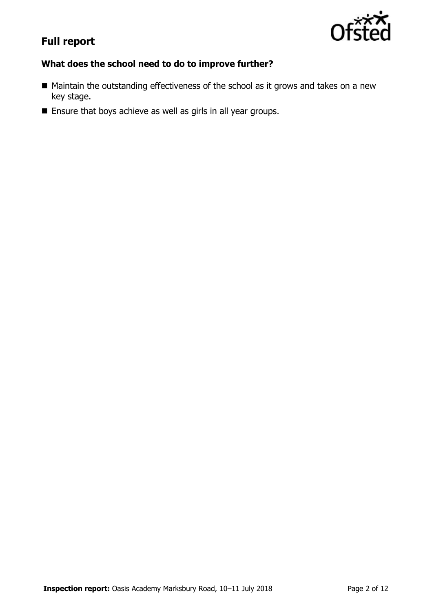

# **Full report**

## **What does the school need to do to improve further?**

- Maintain the outstanding effectiveness of the school as it grows and takes on a new key stage.
- **Ensure that boys achieve as well as girls in all year groups.**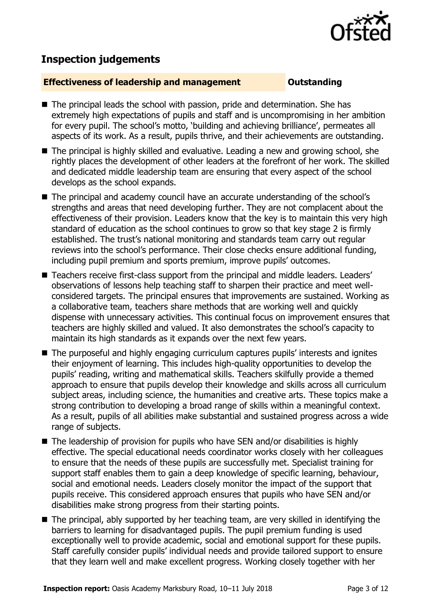

# **Inspection judgements**

### **Effectiveness of leadership and management COULDER COULDER COULDER**

- The principal leads the school with passion, pride and determination. She has extremely high expectations of pupils and staff and is uncompromising in her ambition for every pupil. The school's motto, 'building and achieving brilliance', permeates all aspects of its work. As a result, pupils thrive, and their achievements are outstanding.
- The principal is highly skilled and evaluative. Leading a new and growing school, she rightly places the development of other leaders at the forefront of her work. The skilled and dedicated middle leadership team are ensuring that every aspect of the school develops as the school expands.
- The principal and academy council have an accurate understanding of the school's strengths and areas that need developing further. They are not complacent about the effectiveness of their provision. Leaders know that the key is to maintain this very high standard of education as the school continues to grow so that key stage 2 is firmly established. The trust's national monitoring and standards team carry out regular reviews into the school's performance. Their close checks ensure additional funding, including pupil premium and sports premium, improve pupils' outcomes.
- Teachers receive first-class support from the principal and middle leaders. Leaders' observations of lessons help teaching staff to sharpen their practice and meet wellconsidered targets. The principal ensures that improvements are sustained. Working as a collaborative team, teachers share methods that are working well and quickly dispense with unnecessary activities. This continual focus on improvement ensures that teachers are highly skilled and valued. It also demonstrates the school's capacity to maintain its high standards as it expands over the next few years.
- The purposeful and highly engaging curriculum captures pupils' interests and ignites their enjoyment of learning. This includes high-quality opportunities to develop the pupils' reading, writing and mathematical skills. Teachers skilfully provide a themed approach to ensure that pupils develop their knowledge and skills across all curriculum subject areas, including science, the humanities and creative arts. These topics make a strong contribution to developing a broad range of skills within a meaningful context. As a result, pupils of all abilities make substantial and sustained progress across a wide range of subjects.
- $\blacksquare$  The leadership of provision for pupils who have SEN and/or disabilities is highly effective. The special educational needs coordinator works closely with her colleagues to ensure that the needs of these pupils are successfully met. Specialist training for support staff enables them to gain a deep knowledge of specific learning, behaviour, social and emotional needs. Leaders closely monitor the impact of the support that pupils receive. This considered approach ensures that pupils who have SEN and/or disabilities make strong progress from their starting points.
- The principal, ably supported by her teaching team, are very skilled in identifying the barriers to learning for disadvantaged pupils. The pupil premium funding is used exceptionally well to provide academic, social and emotional support for these pupils. Staff carefully consider pupils' individual needs and provide tailored support to ensure that they learn well and make excellent progress. Working closely together with her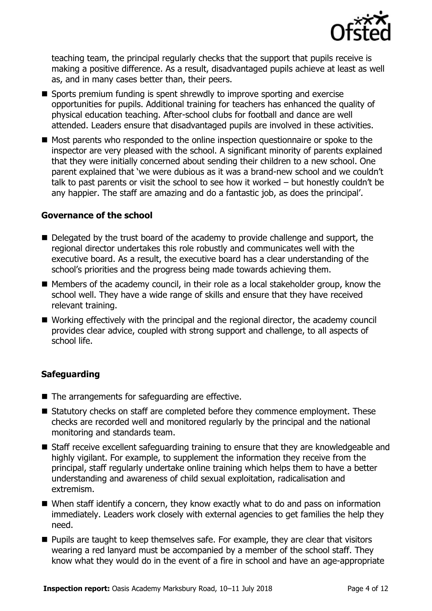

teaching team, the principal regularly checks that the support that pupils receive is making a positive difference. As a result, disadvantaged pupils achieve at least as well as, and in many cases better than, their peers.

- Sports premium funding is spent shrewdly to improve sporting and exercise opportunities for pupils. Additional training for teachers has enhanced the quality of physical education teaching. After-school clubs for football and dance are well attended. Leaders ensure that disadvantaged pupils are involved in these activities.
- Most parents who responded to the online inspection questionnaire or spoke to the inspector are very pleased with the school. A significant minority of parents explained that they were initially concerned about sending their children to a new school. One parent explained that 'we were dubious as it was a brand-new school and we couldn't talk to past parents or visit the school to see how it worked – but honestly couldn't be any happier. The staff are amazing and do a fantastic job, as does the principal'.

#### **Governance of the school**

- Delegated by the trust board of the academy to provide challenge and support, the regional director undertakes this role robustly and communicates well with the executive board. As a result, the executive board has a clear understanding of the school's priorities and the progress being made towards achieving them.
- $\blacksquare$  Members of the academy council, in their role as a local stakeholder group, know the school well. They have a wide range of skills and ensure that they have received relevant training.
- Working effectively with the principal and the regional director, the academy council provides clear advice, coupled with strong support and challenge, to all aspects of school life.

#### **Safeguarding**

- The arrangements for safeguarding are effective.
- Statutory checks on staff are completed before they commence employment. These checks are recorded well and monitored regularly by the principal and the national monitoring and standards team.
- Staff receive excellent safeguarding training to ensure that they are knowledgeable and highly vigilant. For example, to supplement the information they receive from the principal, staff regularly undertake online training which helps them to have a better understanding and awareness of child sexual exploitation, radicalisation and extremism.
- When staff identify a concern, they know exactly what to do and pass on information immediately. Leaders work closely with external agencies to get families the help they need.
- **Pupils are taught to keep themselves safe. For example, they are clear that visitors** wearing a red lanyard must be accompanied by a member of the school staff. They know what they would do in the event of a fire in school and have an age-appropriate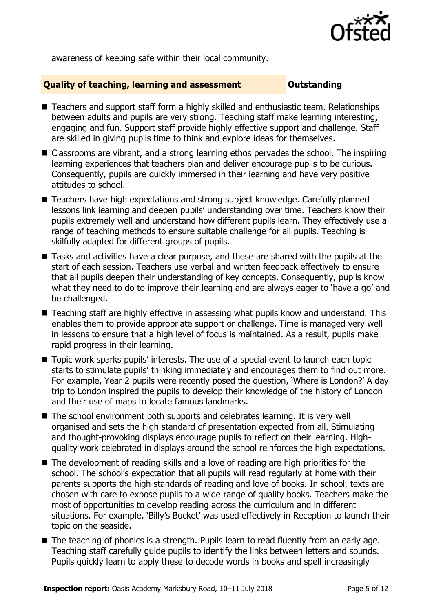

awareness of keeping safe within their local community.

### **Quality of teaching, learning and assessment Outstanding**

- Teachers and support staff form a highly skilled and enthusiastic team. Relationships between adults and pupils are very strong. Teaching staff make learning interesting, engaging and fun. Support staff provide highly effective support and challenge. Staff are skilled in giving pupils time to think and explore ideas for themselves.
- Classrooms are vibrant, and a strong learning ethos pervades the school. The inspiring learning experiences that teachers plan and deliver encourage pupils to be curious. Consequently, pupils are quickly immersed in their learning and have very positive attitudes to school.
- Teachers have high expectations and strong subject knowledge. Carefully planned lessons link learning and deepen pupils' understanding over time. Teachers know their pupils extremely well and understand how different pupils learn. They effectively use a range of teaching methods to ensure suitable challenge for all pupils. Teaching is skilfully adapted for different groups of pupils.
- Tasks and activities have a clear purpose, and these are shared with the pupils at the start of each session. Teachers use verbal and written feedback effectively to ensure that all pupils deepen their understanding of key concepts. Consequently, pupils know what they need to do to improve their learning and are always eager to 'have a go' and be challenged.
- Teaching staff are highly effective in assessing what pupils know and understand. This enables them to provide appropriate support or challenge. Time is managed very well in lessons to ensure that a high level of focus is maintained. As a result, pupils make rapid progress in their learning.
- Topic work sparks pupils' interests. The use of a special event to launch each topic starts to stimulate pupils' thinking immediately and encourages them to find out more. For example, Year 2 pupils were recently posed the question, 'Where is London?' A day trip to London inspired the pupils to develop their knowledge of the history of London and their use of maps to locate famous landmarks.
- The school environment both supports and celebrates learning. It is very well organised and sets the high standard of presentation expected from all. Stimulating and thought-provoking displays encourage pupils to reflect on their learning. Highquality work celebrated in displays around the school reinforces the high expectations.
- The development of reading skills and a love of reading are high priorities for the school. The school's expectation that all pupils will read regularly at home with their parents supports the high standards of reading and love of books. In school, texts are chosen with care to expose pupils to a wide range of quality books. Teachers make the most of opportunities to develop reading across the curriculum and in different situations. For example, 'Billy's Bucket' was used effectively in Reception to launch their topic on the seaside.
- The teaching of phonics is a strength. Pupils learn to read fluently from an early age. Teaching staff carefully guide pupils to identify the links between letters and sounds. Pupils quickly learn to apply these to decode words in books and spell increasingly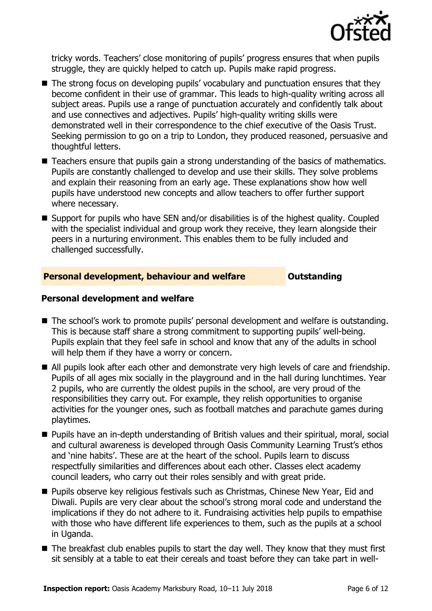

tricky words. Teachers' close monitoring of pupils' progress ensures that when pupils struggle, they are quickly helped to catch up. Pupils make rapid progress.

- The strong focus on developing pupils' vocabulary and punctuation ensures that they become confident in their use of grammar. This leads to high-quality writing across all subject areas. Pupils use a range of punctuation accurately and confidently talk about and use connectives and adjectives. Pupils' high-quality writing skills were demonstrated well in their correspondence to the chief executive of the Oasis Trust. Seeking permission to go on a trip to London, they produced reasoned, persuasive and thoughtful letters.
- Teachers ensure that pupils gain a strong understanding of the basics of mathematics. Pupils are constantly challenged to develop and use their skills. They solve problems and explain their reasoning from an early age. These explanations show how well pupils have understood new concepts and allow teachers to offer further support where necessary.
- Support for pupils who have SEN and/or disabilities is of the highest quality. Coupled with the specialist individual and group work they receive, they learn alongside their peers in a nurturing environment. This enables them to be fully included and challenged successfully.

#### **Personal development, behaviour and welfare <b>COUTS** Outstanding

#### **Personal development and welfare**

- The school's work to promote pupils' personal development and welfare is outstanding. This is because staff share a strong commitment to supporting pupils' well-being. Pupils explain that they feel safe in school and know that any of the adults in school will help them if they have a worry or concern.
- All pupils look after each other and demonstrate very high levels of care and friendship. Pupils of all ages mix socially in the playground and in the hall during lunchtimes. Year 2 pupils, who are currently the oldest pupils in the school, are very proud of the responsibilities they carry out. For example, they relish opportunities to organise activities for the younger ones, such as football matches and parachute games during playtimes.
- Pupils have an in-depth understanding of British values and their spiritual, moral, social and cultural awareness is developed through Oasis Community Learning Trust's ethos and 'nine habits'. These are at the heart of the school. Pupils learn to discuss respectfully similarities and differences about each other. Classes elect academy council leaders, who carry out their roles sensibly and with great pride.
- **Pupils observe key religious festivals such as Christmas, Chinese New Year, Eid and** Diwali. Pupils are very clear about the school's strong moral code and understand the implications if they do not adhere to it. Fundraising activities help pupils to empathise with those who have different life experiences to them, such as the pupils at a school in Uganda.
- The breakfast club enables pupils to start the day well. They know that they must first sit sensibly at a table to eat their cereals and toast before they can take part in well-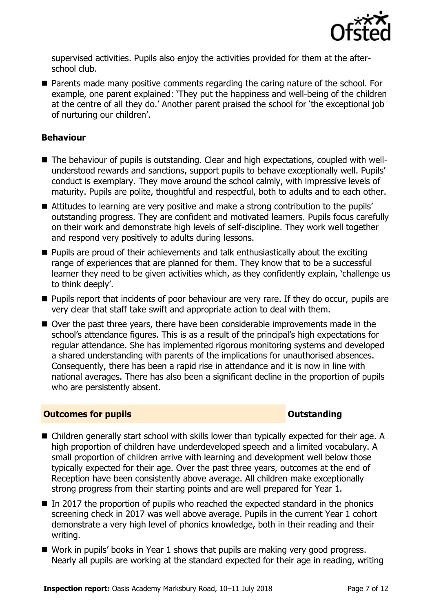

supervised activities. Pupils also enjoy the activities provided for them at the afterschool club.

**Parents made many positive comments regarding the caring nature of the school. For** example, one parent explained: 'They put the happiness and well-being of the children at the centre of all they do.' Another parent praised the school for 'the exceptional job of nurturing our children'.

### **Behaviour**

- The behaviour of pupils is outstanding. Clear and high expectations, coupled with wellunderstood rewards and sanctions, support pupils to behave exceptionally well. Pupils' conduct is exemplary. They move around the school calmly, with impressive levels of maturity. Pupils are polite, thoughtful and respectful, both to adults and to each other.
- Attitudes to learning are very positive and make a strong contribution to the pupils' outstanding progress. They are confident and motivated learners. Pupils focus carefully on their work and demonstrate high levels of self-discipline. They work well together and respond very positively to adults during lessons.
- Pupils are proud of their achievements and talk enthusiastically about the exciting range of experiences that are planned for them. They know that to be a successful learner they need to be given activities which, as they confidently explain, 'challenge us to think deeply'.
- **Pupils report that incidents of poor behaviour are very rare. If they do occur, pupils are** very clear that staff take swift and appropriate action to deal with them.
- Over the past three years, there have been considerable improvements made in the school's attendance figures. This is as a result of the principal's high expectations for regular attendance. She has implemented rigorous monitoring systems and developed a shared understanding with parents of the implications for unauthorised absences. Consequently, there has been a rapid rise in attendance and it is now in line with national averages. There has also been a significant decline in the proportion of pupils who are persistently absent.

#### **Outcomes for pupils Outstanding**

- Children generally start school with skills lower than typically expected for their age. A high proportion of children have underdeveloped speech and a limited vocabulary. A small proportion of children arrive with learning and development well below those typically expected for their age. Over the past three years, outcomes at the end of Reception have been consistently above average. All children make exceptionally strong progress from their starting points and are well prepared for Year 1.
- In 2017 the proportion of pupils who reached the expected standard in the phonics screening check in 2017 was well above average. Pupils in the current Year 1 cohort demonstrate a very high level of phonics knowledge, both in their reading and their writing.
- Work in pupils' books in Year 1 shows that pupils are making very good progress. Nearly all pupils are working at the standard expected for their age in reading, writing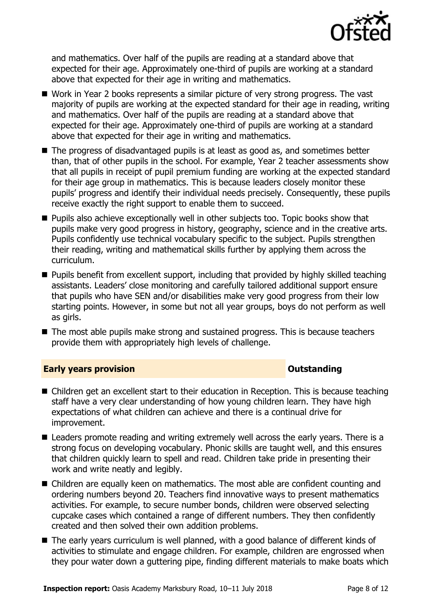

and mathematics. Over half of the pupils are reading at a standard above that expected for their age. Approximately one-third of pupils are working at a standard above that expected for their age in writing and mathematics.

- Work in Year 2 books represents a similar picture of very strong progress. The vast majority of pupils are working at the expected standard for their age in reading, writing and mathematics. Over half of the pupils are reading at a standard above that expected for their age. Approximately one-third of pupils are working at a standard above that expected for their age in writing and mathematics.
- The progress of disadvantaged pupils is at least as good as, and sometimes better than, that of other pupils in the school. For example, Year 2 teacher assessments show that all pupils in receipt of pupil premium funding are working at the expected standard for their age group in mathematics. This is because leaders closely monitor these pupils' progress and identify their individual needs precisely. Consequently, these pupils receive exactly the right support to enable them to succeed.
- **Pupils also achieve exceptionally well in other subjects too. Topic books show that** pupils make very good progress in history, geography, science and in the creative arts. Pupils confidently use technical vocabulary specific to the subject. Pupils strengthen their reading, writing and mathematical skills further by applying them across the curriculum.
- **Pupils benefit from excellent support, including that provided by highly skilled teaching** assistants. Leaders' close monitoring and carefully tailored additional support ensure that pupils who have SEN and/or disabilities make very good progress from their low starting points. However, in some but not all year groups, boys do not perform as well as girls.
- The most able pupils make strong and sustained progress. This is because teachers provide them with appropriately high levels of challenge.

#### **Early years provision CONSTANDING TO A RESERVE THE SERVE TO A RESERVE THE SERVE TO A RESERVE THE SERVE TO A RESERVE THE SERVE TO A RESERVE THE SERVE TO A RESERVE THE SERVE TO A RESERVE THE SERVE TO A RESERVE THE SERVE T**

- Children get an excellent start to their education in Reception. This is because teaching staff have a very clear understanding of how young children learn. They have high expectations of what children can achieve and there is a continual drive for improvement.
- Leaders promote reading and writing extremely well across the early years. There is a strong focus on developing vocabulary. Phonic skills are taught well, and this ensures that children quickly learn to spell and read. Children take pride in presenting their work and write neatly and legibly.
- Children are equally keen on mathematics. The most able are confident counting and ordering numbers beyond 20. Teachers find innovative ways to present mathematics activities. For example, to secure number bonds, children were observed selecting cupcake cases which contained a range of different numbers. They then confidently created and then solved their own addition problems.
- The early years curriculum is well planned, with a good balance of different kinds of activities to stimulate and engage children. For example, children are engrossed when they pour water down a guttering pipe, finding different materials to make boats which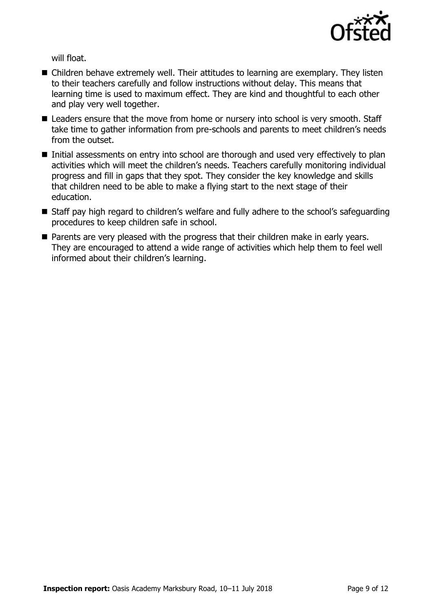

will float.

- Children behave extremely well. Their attitudes to learning are exemplary. They listen to their teachers carefully and follow instructions without delay. This means that learning time is used to maximum effect. They are kind and thoughtful to each other and play very well together.
- Leaders ensure that the move from home or nursery into school is very smooth. Staff take time to gather information from pre-schools and parents to meet children's needs from the outset.
- Initial assessments on entry into school are thorough and used very effectively to plan activities which will meet the children's needs. Teachers carefully monitoring individual progress and fill in gaps that they spot. They consider the key knowledge and skills that children need to be able to make a flying start to the next stage of their education.
- Staff pay high regard to children's welfare and fully adhere to the school's safeguarding procedures to keep children safe in school.
- **Parents are very pleased with the progress that their children make in early years.** They are encouraged to attend a wide range of activities which help them to feel well informed about their children's learning.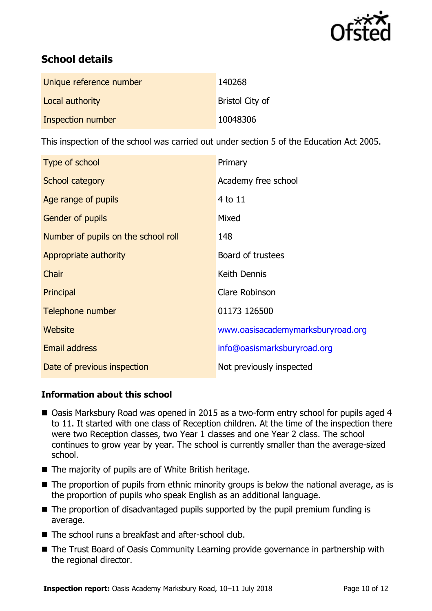

# **School details**

| Unique reference number | 140268                 |
|-------------------------|------------------------|
| Local authority         | <b>Bristol City of</b> |
| Inspection number       | 10048306               |

This inspection of the school was carried out under section 5 of the Education Act 2005.

| Type of school                      | Primary                           |
|-------------------------------------|-----------------------------------|
| School category                     | Academy free school               |
| Age range of pupils                 | 4 to 11                           |
| Gender of pupils                    | Mixed                             |
| Number of pupils on the school roll | 148                               |
| Appropriate authority               | Board of trustees                 |
| Chair                               | Keith Dennis                      |
| Principal                           | Clare Robinson                    |
| Telephone number                    | 01173 126500                      |
| Website                             | www.oasisacademymarksburyroad.org |
| <b>Email address</b>                | info@oasismarksburyroad.org       |
| Date of previous inspection         | Not previously inspected          |

### **Information about this school**

- Oasis Marksbury Road was opened in 2015 as a two-form entry school for pupils aged 4 to 11. It started with one class of Reception children. At the time of the inspection there were two Reception classes, two Year 1 classes and one Year 2 class. The school continues to grow year by year. The school is currently smaller than the average-sized school.
- The majority of pupils are of White British heritage.
- The proportion of pupils from ethnic minority groups is below the national average, as is the proportion of pupils who speak English as an additional language.
- $\blacksquare$  The proportion of disadvantaged pupils supported by the pupil premium funding is average.
- The school runs a breakfast and after-school club.
- The Trust Board of Oasis Community Learning provide governance in partnership with the regional director.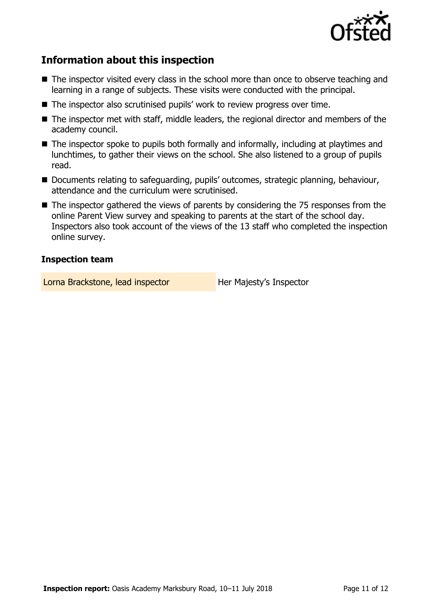

# **Information about this inspection**

- The inspector visited every class in the school more than once to observe teaching and learning in a range of subjects. These visits were conducted with the principal.
- The inspector also scrutinised pupils' work to review progress over time.
- The inspector met with staff, middle leaders, the regional director and members of the academy council.
- The inspector spoke to pupils both formally and informally, including at playtimes and lunchtimes, to gather their views on the school. She also listened to a group of pupils read.
- Documents relating to safeguarding, pupils' outcomes, strategic planning, behaviour, attendance and the curriculum were scrutinised.
- The inspector gathered the views of parents by considering the 75 responses from the online Parent View survey and speaking to parents at the start of the school day. Inspectors also took account of the views of the 13 staff who completed the inspection online survey.

#### **Inspection team**

Lorna Brackstone, lead inspector **Her Majesty's Inspector**